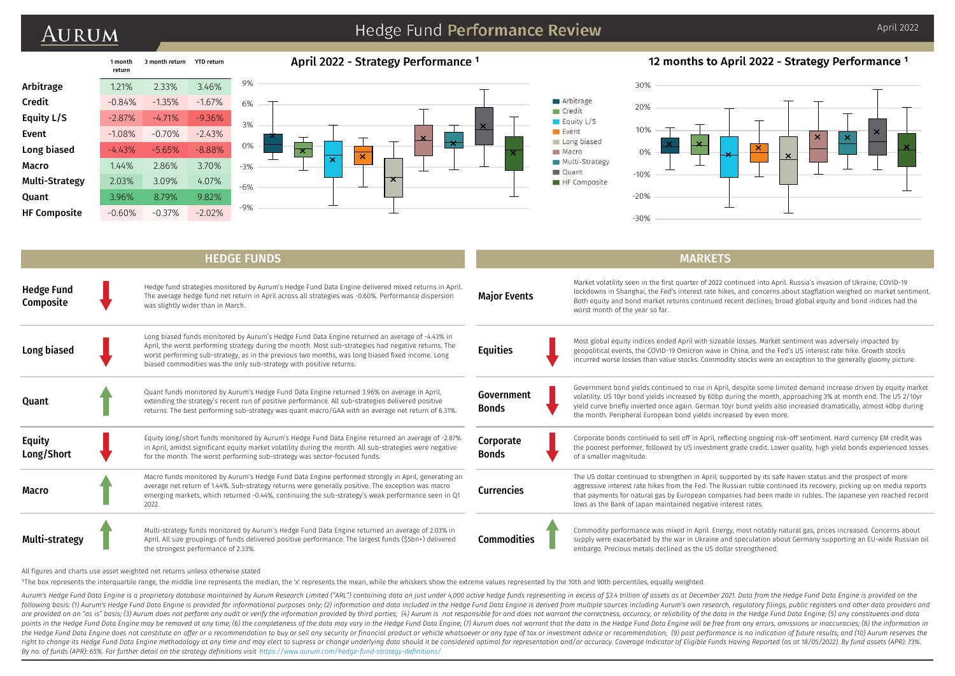# Aurum

## Hedge Fund Performance Review

|                     | 1 month<br>return | 3 month return | <b>YTD</b> return |       |
|---------------------|-------------------|----------------|-------------------|-------|
| Arbitrage           | 1.21%             | 2.33%          | 3.46%             | 9%    |
| Credit              | $-0.84%$          | $-1.35%$       | $-1.67%$          | 6%    |
| Equity L/S          | $-2.87%$          | $-471%$        | $-9.36%$          | 3%    |
| Event               | $-108%$           | $-0.70%$       | $-2.43%$          |       |
| Long biased         | $-443%$           | $-5.65%$       | $-8.88%$          | 0%    |
| Macro               | 144%              | 2.86%          | 370%              | $-3%$ |
| Multi-Strategy      | 2.03%             | 3.09%          | 4 0 7%            | -6%   |
| <b>Quant</b>        | 3.96%             | 879%           | 9.82%             |       |
| <b>HF Composite</b> | $-0.60%$          | $-0.37%$       | $-2.02%$          | $-9%$ |

#### April 2022 - Strategy Performance<sup>1</sup>



### 12 months to April 2022 - Strategy Performance 1



|                                | <b>HEDGE FUNDS</b>                                                                                                                                                                                                                                                                                                                                                                | <b>MARKETS</b>             |                                                                                                                                                                                                                                                                                                                                                                                                                             |  |  |  |  |  |  |
|--------------------------------|-----------------------------------------------------------------------------------------------------------------------------------------------------------------------------------------------------------------------------------------------------------------------------------------------------------------------------------------------------------------------------------|----------------------------|-----------------------------------------------------------------------------------------------------------------------------------------------------------------------------------------------------------------------------------------------------------------------------------------------------------------------------------------------------------------------------------------------------------------------------|--|--|--|--|--|--|
| <b>Hedge Fund</b><br>Composite | Hedge fund strategies monitored by Aurum's Hedge Fund Data Engine delivered mixed returns in April.<br>The average hedge fund net return in April across all strategies was -0.60%. Performance dispersion<br>was slightly wider than in March.                                                                                                                                   | <b>Major Events</b>        | Market volatility seen in the first quarter of 2022 continued into April. Russia's invasion of Ukraine, COVID-19<br>lockdowns in Shanghai, the Fed's interest rate hikes, and concerns about stagflation weighed on market sentiment.<br>Both equity and bond market returns continued recent declines; broad global equity and bond indices had the<br>worst month of the year so far.                                     |  |  |  |  |  |  |
| Long biased                    | Long biased funds monitored by Aurum's Hedge Fund Data Engine returned an average of -4.43% in<br>April, the worst performing strategy during the month. Most sub-strategies had negative returns. The<br>worst performing sub-strategy, as in the previous two months, was long biased fixed income. Long<br>biased commodities was the only sub-strategy with positive returns. | <b>Equities</b>            | Most global equity indices ended April with sizeable losses. Market sentiment was adversely impacted by<br>geopolitical events, the COVID-19 Omicron wave in China, and the Fed's US interest rate hike. Growth stocks<br>incurred worse losses than value stocks. Commodity stocks were an exception to the generally gloomy picture.                                                                                      |  |  |  |  |  |  |
| Quant                          | Quant funds monitored by Aurum's Hedge Fund Data Engine returned 3.96% on average in April,<br>extending the strategy's recent run of positive performance. All sub-strategies delivered positive<br>returns. The best performing sub-strategy was quant macro/GAA with an average net return of 6.31%.                                                                           | Government<br><b>Bonds</b> | Government bond yields continued to rise in April, despite some limited demand increase driven by equity market<br>volatility. US 10yr bond yields increased by 60bp during the month, approaching 3% at month end. The US 2/10yr<br>yield curve briefly inverted once again. German 10yr bund yields also increased dramatically, almost 40bp during<br>the month. Peripheral European bond yields increased by even more. |  |  |  |  |  |  |
| <b>Equity</b><br>Long/Short    | Equity long/short funds monitored by Aurum's Hedge Fund Data Engine returned an average of -2.87%<br>in April, amidst significant equity market volatility during the month. All sub-strategies were negative<br>for the month. The worst performing sub-strategy was sector-focused funds.                                                                                       | Corporate<br><b>Bonds</b>  | Corporate bonds continued to sell off in April, reflecting ongoing risk-off sentiment. Hard currency EM credit was<br>the poorest performer, followed by US investment grade credit. Lower quality, high yield bonds experienced losses<br>of a smaller magnitude.                                                                                                                                                          |  |  |  |  |  |  |
| Macro                          | Macro funds monitored by Aurum's Hedge Fund Data Engine performed strongly in April, generating an<br>average net return of 1.44%. Sub-strategy returns were generally positive. The exception was macro<br>emerging markets, which returned -0.44%, continuing the sub-strategy's weak performance seen in Q1<br>2022.                                                           | <b>Currencies</b>          | The US dollar continued to strengthen in April; supported by its safe haven status and the prospect of more<br>aggressive interest rate hikes from the Fed. The Russian ruble continued its recovery, picking up on media reports<br>that payments for natural gas by European companies had been made in rubles. The Japanese yen reached record<br>lows as the Bank of Japan maintained negative interest rates.          |  |  |  |  |  |  |
| Multi-strategy                 | Multi-strategy funds monitored by Aurum's Hedge Fund Data Engine returned an average of 2.03% in<br>April. All size groupings of funds delivered positive performance. The largest funds (\$5bn+) delivered<br>the strongest performance of 2.33%.                                                                                                                                | <b>Commodities</b>         | Commodity performance was mixed in April. Energy, most notably natural gas, prices increased. Concerns about<br>supply were exacerbated by the war in Ukraine and speculation about Germany supporting an EU-wide Russian oil<br>embargo. Precious metals declined as the US dollar strengthened.                                                                                                                           |  |  |  |  |  |  |

All figures and charts use asset weighted net returns unless otherwise stated

The box represents the interquartile range, the middle line represents the median, the 'x' represents the mean, while the whiskers show the extreme values represented by the 10th and 90th percentiles, equally weighted.

Aurum's Hedge Fund Data Engine is a proprietary database maintained by Aurum Research Limited ("ARL") containing data on just under 4,000 active hedge funds representing in excess of \$3.4 trillion of assets as at December following basis: (1) Aurum's Hedge Fund Data Engine is provided for informational purposes only; (2) information and data included in the Hedge Fund Data Engine is derived from multiple sources including Aurum's own resear are provided on an "as is" basis; (3) Aurum does not perform any audit or verify the information provided by third parties; (4) Aurum is not responsible for and does not warrant the correctness, accuracy, or reliability of points in the Hedge Fund Data Engine may be removed at any time; (6) the completeness of the data may vary in the Hedge Fund Data Engine; (7) Aurum does not warrant that the data in the Hedge Fund Data Engine will be free the Hedge Fund Data Engine does not constitute an offer or a recommendation to buy or sell any security or financial product or vehicle whatsoever or any type of tax or investment advice or recommendation; (9) past perform right to change its Hedge Fund Data Engine methodology at any time and may elect to supress or change underlying data should it be considered optimal for representation and/or accuracy. Coverage Indicator of Eligible Funds *By no. of funds (APR): 65%. For further detail on the strategy definitions visit https://www.aurum.com/hedge-fund-strategy-definitions/*